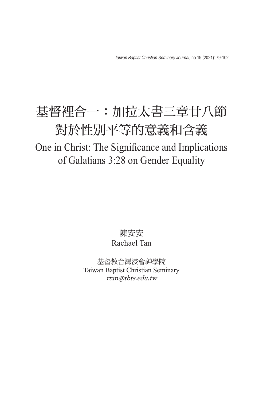## 基督裡合一:加拉太書三章廿八節 對於性別平等的意義和含義

One in Christ: The Significance and Implications of Galatians 3:28 on Gender Equality

> 陳安安 Rachael Tan

基督教台灣浸會神學院 Taiwan Baptist Christian Seminary rtan@tbts.edu.tw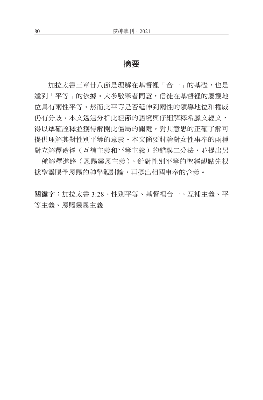## 摘要

加拉太書三章廿八節是理解在基督裡「合一」的基礎,也是 達到「平等」的依據。大多數學者同意,信徒在基督裡的屬靈地 位具有兩性平等。然而此平等是否延伸到兩性的領導地位和權威 仍有分歧。本文透過分析此經節的語境與仔細解釋希臘文經文, 得以準確詮釋並獲得解開此僵局的關鍵。對其意思的正確了解可 提供理解其對性別平等的意義。本文簡要討論對女性事奉的兩種 對立解釋涂徑(互補主義和平等主義)的錯誤二分法,並提出另 一種解釋進路(恩賜靈恩主義)。針對性別平等的聖經觀點先根 據聖靈賜予恩賜的神學觀討論,再提出相關事奉的含義。

關鍵字:加拉太書 3:28、性別平等、基督裡合一、互補主義、平 等主義、恩賜靈恩主義